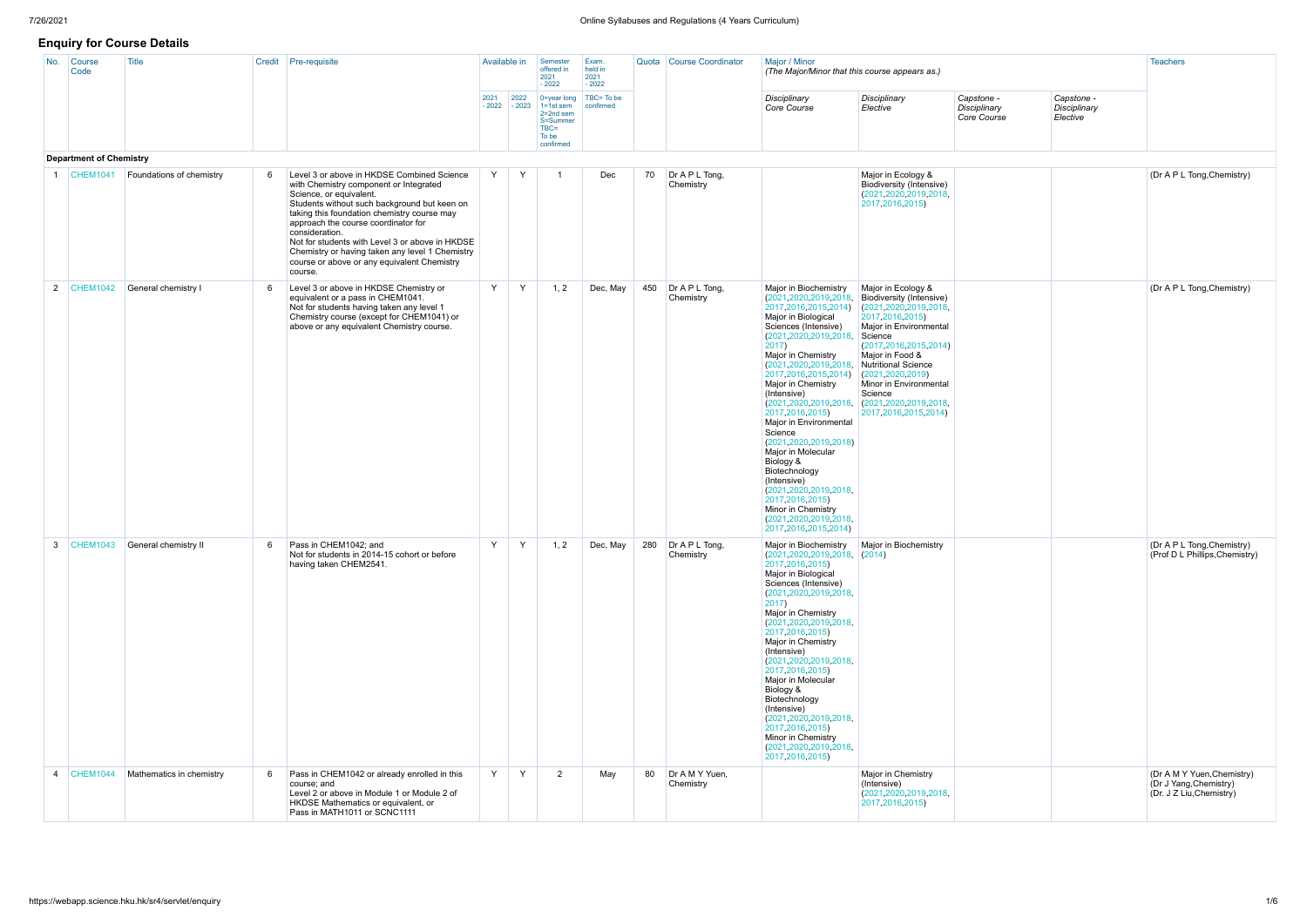# **Enquiry for Course Details**

| No.            | Course<br>Code                 | Title                           |     | Credit Pre-requisite                                                                                                                                                                                                                                                                                                                                                                                                                    | Available in |                        | Semester<br>offered in<br>2021<br>$-2022$                                                      | Exam.<br>held in<br>2021<br>$-2022$ |    | Quota Course Coordinator        | Major / Minor<br>(The Major/Minor that this course appears as.)                                                                                                                                                                                                                                                                                                                                                                                                                                                                                                                                                |                                                                                                                                                                                                                                                                                                                              |                                           |                                        | <b>Teachers</b>                                                                  |
|----------------|--------------------------------|---------------------------------|-----|-----------------------------------------------------------------------------------------------------------------------------------------------------------------------------------------------------------------------------------------------------------------------------------------------------------------------------------------------------------------------------------------------------------------------------------------|--------------|------------------------|------------------------------------------------------------------------------------------------|-------------------------------------|----|---------------------------------|----------------------------------------------------------------------------------------------------------------------------------------------------------------------------------------------------------------------------------------------------------------------------------------------------------------------------------------------------------------------------------------------------------------------------------------------------------------------------------------------------------------------------------------------------------------------------------------------------------------|------------------------------------------------------------------------------------------------------------------------------------------------------------------------------------------------------------------------------------------------------------------------------------------------------------------------------|-------------------------------------------|----------------------------------------|----------------------------------------------------------------------------------|
|                |                                |                                 |     |                                                                                                                                                                                                                                                                                                                                                                                                                                         | 2021         | 2022<br>$-2022 - 2023$ | $\vert$ 0=year long<br>$1 = 1st$ sem<br>2=2nd sem<br>S=Summer<br>$TBC =$<br>To be<br>confirmed | TBC= To be<br>confirmed             |    |                                 | Disciplinary<br>Core Course                                                                                                                                                                                                                                                                                                                                                                                                                                                                                                                                                                                    | Disciplinary<br>Elective                                                                                                                                                                                                                                                                                                     | Capstone -<br>Disciplinary<br>Core Course | Capstone -<br>Disciplinary<br>Elective |                                                                                  |
|                | <b>Department of Chemistry</b> |                                 |     |                                                                                                                                                                                                                                                                                                                                                                                                                                         |              |                        |                                                                                                |                                     |    |                                 |                                                                                                                                                                                                                                                                                                                                                                                                                                                                                                                                                                                                                |                                                                                                                                                                                                                                                                                                                              |                                           |                                        |                                                                                  |
|                | $ $ CHEM1041                   | Foundations of chemistry        | -6  | Level 3 or above in HKDSE Combined Science<br>with Chemistry component or Integrated<br>Science, or equivalent.<br>Students without such background but keen on<br>taking this foundation chemistry course may<br>approach the course coordinator for<br>consideration.<br>Not for students with Level 3 or above in HKDSE<br>Chemistry or having taken any level 1 Chemistry<br>course or above or any equivalent Chemistry<br>course. | Y            | Y                      | - 1                                                                                            | Dec                                 | 70 | $Dr$ A P L Tong,<br>Chemistry   |                                                                                                                                                                                                                                                                                                                                                                                                                                                                                                                                                                                                                | Major in Ecology &<br>Biodiversity (Intensive)<br>(2021, 2020, 2019, 2018,<br>2017, 2016, 2015)                                                                                                                                                                                                                              |                                           |                                        | (Dr A P L Tong, Chemistry)                                                       |
|                | 2 CHEM1042                     | General chemistry I             | - 6 | Level 3 or above in HKDSE Chemistry or<br>equivalent or a pass in CHEM1041.<br>Not for students having taken any level 1<br>Chemistry course (except for CHEM1041) or<br>above or any equivalent Chemistry course.                                                                                                                                                                                                                      | Y            | Y                      | 1, 2                                                                                           | Dec, May                            |    | 450 Dr A P L Tong,<br>Chemistry | Major in Biochemistry<br>(2021, 2020, 2019, 2018,<br>2017, 2016, 2015, 2014)<br>Major in Biological<br>Sciences (Intensive)<br>(2021, 2020, 2019, 2018,<br>$ 2017\rangle$<br>Major in Chemistry<br>(2021, 2020, 2019, 2018,<br>2017, 2016, 2015, 2014)<br>Major in Chemistry<br>(Intensive)<br>(2021, 2020, 2019, 2018,<br>2017, 2016, 2015)<br>Major in Environmental<br>Science<br>(2021, 2020, 2019, 2018)<br>Major in Molecular<br>Biology &<br>Biotechnology<br>(Intensive)<br>(2021, 2020, 2019, 2018,<br>2017, 2016, 2015)<br>Minor in Chemistry<br>(2021, 2020, 2019, 2018,<br>2017, 2016, 2015, 2014) | Major in Ecology &<br>Biodiversity (Intensive)<br>(2021, 2020, 2019, 2018,<br>2017, 2016, 2015)<br>Major in Environmental<br>Science<br>(2017, 2016, 2015, 2014)<br>Major in Food &<br>Nutritional Science<br>(2021, 2020, 2019)<br>Minor in Environmental<br>Science<br>(2021, 2020, 2019, 2018)<br>2017, 2016, 2015, 2014) |                                           |                                        | (Dr A P L Tong, Chemistry)                                                       |
|                |                                | 3 CHEM1043 General chemistry II | -6  | Pass in CHEM1042; and<br>Not for students in 2014-15 cohort or before<br>having taken CHEM2541.                                                                                                                                                                                                                                                                                                                                         | Y            |                        | 1, 2                                                                                           | Dec, May                            |    | 280 Dr A P L Tong,<br>Chemistry | Major in Biochemistry   Major in Biochemistry<br>$\vert$ (2021,2020,2019,2018, $\vert$ (2014)<br>2017, 2016, 2015)<br>Major in Biological<br>Sciences (Intensive)<br>(2021, 2020, 2019, 2018,<br>2017)<br>Major in Chemistry<br>(2021, 2020, 2019, 2018,<br>2017, 2016, 2015)<br>Major in Chemistry<br>(Intensive)<br>(2021, 2020, 2019, 2018,<br>2017, 2016, 2015)<br>Major in Molecular<br>Biology &<br>Biotechnology<br>(Intensive)<br>(2021, 2020, 2019, 2018,<br>2017, 2016, 2015)<br>Minor in Chemistry<br>(2021, 2020, 2019, 2018,<br>2017, 2016, 2015)                                                 |                                                                                                                                                                                                                                                                                                                              |                                           |                                        | (Dr A P L Tong, Chemistry)<br>(Prof D L Phillips, Chemistry)                     |
| $\overline{4}$ | $\mathsf{CHEM1044}$            | Mathematics in chemistry        | 6   | Pass in CHEM1042 or already enrolled in this<br>course; and<br>Level 2 or above in Module 1 or Module 2 of<br>HKDSE Mathematics or equivalent, or<br>Pass in MATH1011 or SCNC1111                                                                                                                                                                                                                                                       | Y            | Y                      | $\overline{2}$                                                                                 | May                                 | 80 | Dr A M Y Yuen,<br>Chemistry     |                                                                                                                                                                                                                                                                                                                                                                                                                                                                                                                                                                                                                | Major in Chemistry<br>(Intensive)<br>(2021, 2020, 2019, 2018,<br>2017, 2016, 2015)                                                                                                                                                                                                                                           |                                           |                                        | (Dr A M Y Yuen, Chemistry)<br>(Dr J Yang, Chemistry)<br>(Dr. J Z Liu, Chemistry) |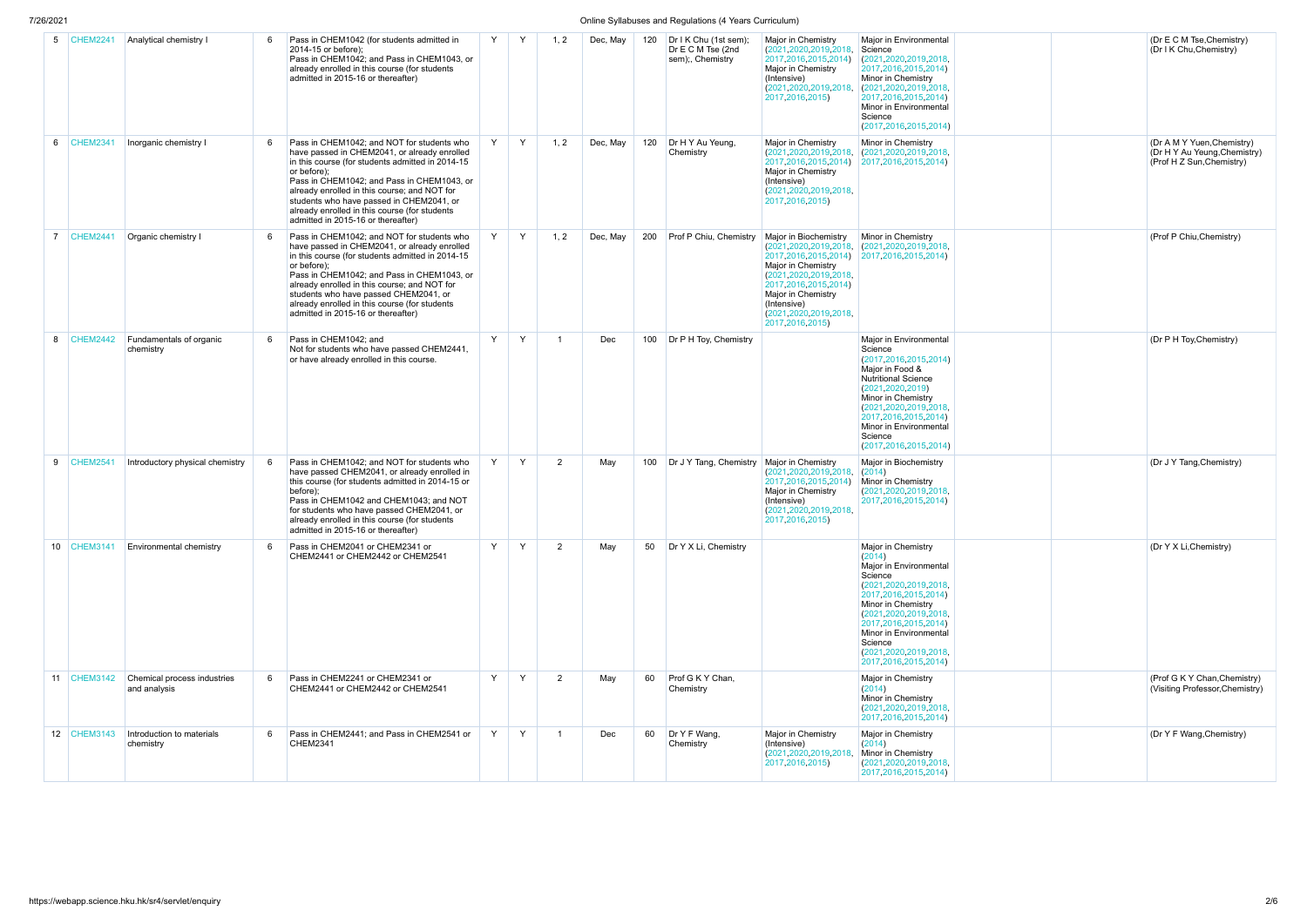## 7/26/2021 Online Syllabuses and Regulations (4 Years Curriculum)

| 5              | <b>CHEM2241</b> | Analytical chemistry I                      | 6 | Pass in CHEM1042 (for students admitted in<br>2014-15 or before);<br>Pass in CHEM1042; and Pass in CHEM1043, or<br>already enrolled in this course (for students<br>admitted in 2015-16 or thereafter)                                                                                                                                                                                         |              | Y | 1, 2           | Dec, May | 120 | Dr I K Chu (1st sem);<br>Dr E C M Tse (2nd<br>sem);, Chemistry | Major in Chemistry<br>(2021, 2020, 2019, 2018,<br>2017, 2016, 2015, 2014)<br>Major in Chemistry<br>(Intensive)<br>(2021, 2020, 2019, 2018,<br>2017, 2016, 2015)                                                                                 | Major in Environmental<br>Science<br>(2021, 2020, 2019, 2018,<br>2017, 2016, 2015, 2014)<br>Minor in Chemistry<br>(2021.2020.2019.2018,<br>2017, 2016, 2015, 2014)<br>Minor in Environmental<br>Science<br>(2017, 2016, 2015, 2014)                                                               |  |
|----------------|-----------------|---------------------------------------------|---|------------------------------------------------------------------------------------------------------------------------------------------------------------------------------------------------------------------------------------------------------------------------------------------------------------------------------------------------------------------------------------------------|--------------|---|----------------|----------|-----|----------------------------------------------------------------|-------------------------------------------------------------------------------------------------------------------------------------------------------------------------------------------------------------------------------------------------|---------------------------------------------------------------------------------------------------------------------------------------------------------------------------------------------------------------------------------------------------------------------------------------------------|--|
| 6              | <b>CHEM2341</b> | Inorganic chemistry I                       | 6 | Pass in CHEM1042; and NOT for students who<br>have passed in CHEM2041, or already enrolled<br>in this course (for students admitted in 2014-15<br>or before);<br>Pass in CHEM1042; and Pass in CHEM1043, or<br>already enrolled in this course; and NOT for<br>students who have passed in CHEM2041, or<br>already enrolled in this course (for students<br>admitted in 2015-16 or thereafter) | Y            | Y | 1, 2           | Dec, May | 120 | Dr H Y Au Yeung.<br>Chemistry                                  | Major in Chemistry<br>(2021, 2020, 2019, 2018,<br>2017, 2016, 2015, 2014)<br>Major in Chemistry<br>(Intensive)<br>(2021, 2020, 2019, 2018,<br>2017, 2016, 2015)                                                                                 | Minor in Chemistry<br>(2021.2020.2019.2018,<br>2017, 2016, 2015, 2014)                                                                                                                                                                                                                            |  |
| $\overline{7}$ | <b>CHEM2441</b> | Organic chemistry I                         | 6 | Pass in CHEM1042; and NOT for students who<br>have passed in CHEM2041, or already enrolled<br>in this course (for students admitted in 2014-15<br>or before);<br>Pass in CHEM1042; and Pass in CHEM1043, or<br>already enrolled in this course; and NOT for<br>students who have passed CHEM2041, or<br>already enrolled in this course (for students<br>admitted in 2015-16 or thereafter)    | Y            | Y | 1, 2           | Dec, May | 200 | Prof P Chiu, Chemistry                                         | Major in Biochemistry<br>(2021, 2020, 2019, 2018,<br>2017, 2016, 2015, 2014)<br>Major in Chemistry<br>(2021, 2020, 2019, 2018,<br>2017, 2016, 2015, 2014)<br>Major in Chemistry<br>(Intensive)<br>(2021, 2020, 2019, 2018)<br>2017, 2016, 2015) | Minor in Chemistry<br>(2021, 2020, 2019, 2018,<br>2017, 2016, 2015, 2014)                                                                                                                                                                                                                         |  |
| 8              | <b>CHEM2442</b> | Fundamentals of organic<br>chemistry        | 6 | Pass in CHEM1042; and<br>Not for students who have passed CHEM2441,<br>or have already enrolled in this course.                                                                                                                                                                                                                                                                                | $\mathsf{Y}$ | Y | 1              | Dec      | 100 | Dr P H Toy, Chemistry                                          |                                                                                                                                                                                                                                                 | Major in Environmental<br>Science<br>(2017, 2016, 2015, 2014)<br>Major in Food &<br><b>Nutritional Science</b><br>(2021, 2020, 2019)<br>Minor in Chemistry<br>(2021, 2020, 2019, 2018,<br>2017, 2016, 2015, 2014)<br>Minor in Environmental<br>Science<br>(2017, 2016, 2015, 2014)                |  |
| 9              | <b>CHEM2541</b> | Introductory physical chemistry             | 6 | Pass in CHEM1042: and NOT for students who<br>have passed CHEM2041, or already enrolled in<br>this course (for students admitted in 2014-15 or<br>before);<br>Pass in CHEM1042 and CHEM1043; and NOT<br>for students who have passed CHEM2041, or<br>already enrolled in this course (for students<br>admitted in 2015-16 or thereafter)                                                       | Y            | Y | $\overline{2}$ | May      | 100 | Dr J Y Tang, Chemistry                                         | Major in Chemistry<br>(2021, 2020, 2019, 2018,<br>2017, 2016, 2015, 2014)<br>Major in Chemistry<br>(Intensive)<br>(2021, 2020, 2019, 2018,<br>2017, 2016, 2015)                                                                                 | Major in Biochemistry<br>(2014)<br>Minor in Chemistry<br>(2021, 2020, 2019, 2018,<br>2017, 2016, 2015, 2014)                                                                                                                                                                                      |  |
|                | 10 CHEM3141     | <b>Environmental chemistry</b>              | 6 | Pass in CHEM2041 or CHEM2341 or<br>CHEM2441 or CHEM2442 or CHEM2541                                                                                                                                                                                                                                                                                                                            | Y            | Y | $\overline{2}$ | May      | 50  | Dr Y X Li, Chemistry                                           |                                                                                                                                                                                                                                                 | Major in Chemistry<br>(2014)<br>Major in Environmental<br>Science<br>(2021, 2020, 2019, 2018,<br>2017, 2016, 2015, 2014)<br>Minor in Chemistry<br>(2021, 2020, 2019, 2018,<br>2017, 2016, 2015, 2014)<br>Minor in Environmental<br>Science<br>(2021, 2020, 2019, 2018,<br>2017, 2016, 2015, 2014) |  |
| 11             | <b>CHEM3142</b> | Chemical process industries<br>and analysis | 6 | Pass in CHEM2241 or CHEM2341 or<br>CHEM2441 or CHEM2442 or CHEM2541                                                                                                                                                                                                                                                                                                                            | Y            | Y | $\overline{2}$ | May      | 60  | Prof G K Y Chan,<br>Chemistry                                  |                                                                                                                                                                                                                                                 | Major in Chemistry<br>(2014)<br>Minor in Chemistry<br>(2021, 2020, 2019, 2018,<br>2017, 2016, 2015, 2014)                                                                                                                                                                                         |  |
|                | 12 CHEM3143     | Introduction to materials<br>chemistry      | 6 | Pass in CHEM2441; and Pass in CHEM2541 or<br><b>CHEM2341</b>                                                                                                                                                                                                                                                                                                                                   | $\mathsf{Y}$ | Y | 1              | Dec      | 60  | Dr Y F Wang,<br>Chemistry                                      | Major in Chemistry<br>(Intensive)<br>(2021, 2020, 2019, 2018,<br>2017, 2016, 2015)                                                                                                                                                              | Major in Chemistry<br>(2014)<br>Minor in Chemistry<br>(2021, 2020, 2019, 2018,<br>2017, 2016, 2015, 2014)                                                                                                                                                                                         |  |

| (Dr E C M Tse, Chemistry)<br>(Dr I K Chu, Chemistry)<br>(Dr A M Y Yuen, Chemistry)<br>(Dr H Y Au Yeung, Chemistry)<br>(Prof H Z Sun, Chemistry)<br>(Prof P Chiu, Chemistry)<br>(Dr P H Toy, Chemistry)<br>(Dr J Y Tang, Chemistry)<br>(Dr Y X Li, Chemistry)<br>(Prof G K Y Chan, Chemistry)<br>(Visiting Professor, Chemistry)<br>(Dr Y F Wang, Chemistry) |  |  |
|-------------------------------------------------------------------------------------------------------------------------------------------------------------------------------------------------------------------------------------------------------------------------------------------------------------------------------------------------------------|--|--|
|                                                                                                                                                                                                                                                                                                                                                             |  |  |
|                                                                                                                                                                                                                                                                                                                                                             |  |  |
|                                                                                                                                                                                                                                                                                                                                                             |  |  |
|                                                                                                                                                                                                                                                                                                                                                             |  |  |
|                                                                                                                                                                                                                                                                                                                                                             |  |  |
|                                                                                                                                                                                                                                                                                                                                                             |  |  |
|                                                                                                                                                                                                                                                                                                                                                             |  |  |
|                                                                                                                                                                                                                                                                                                                                                             |  |  |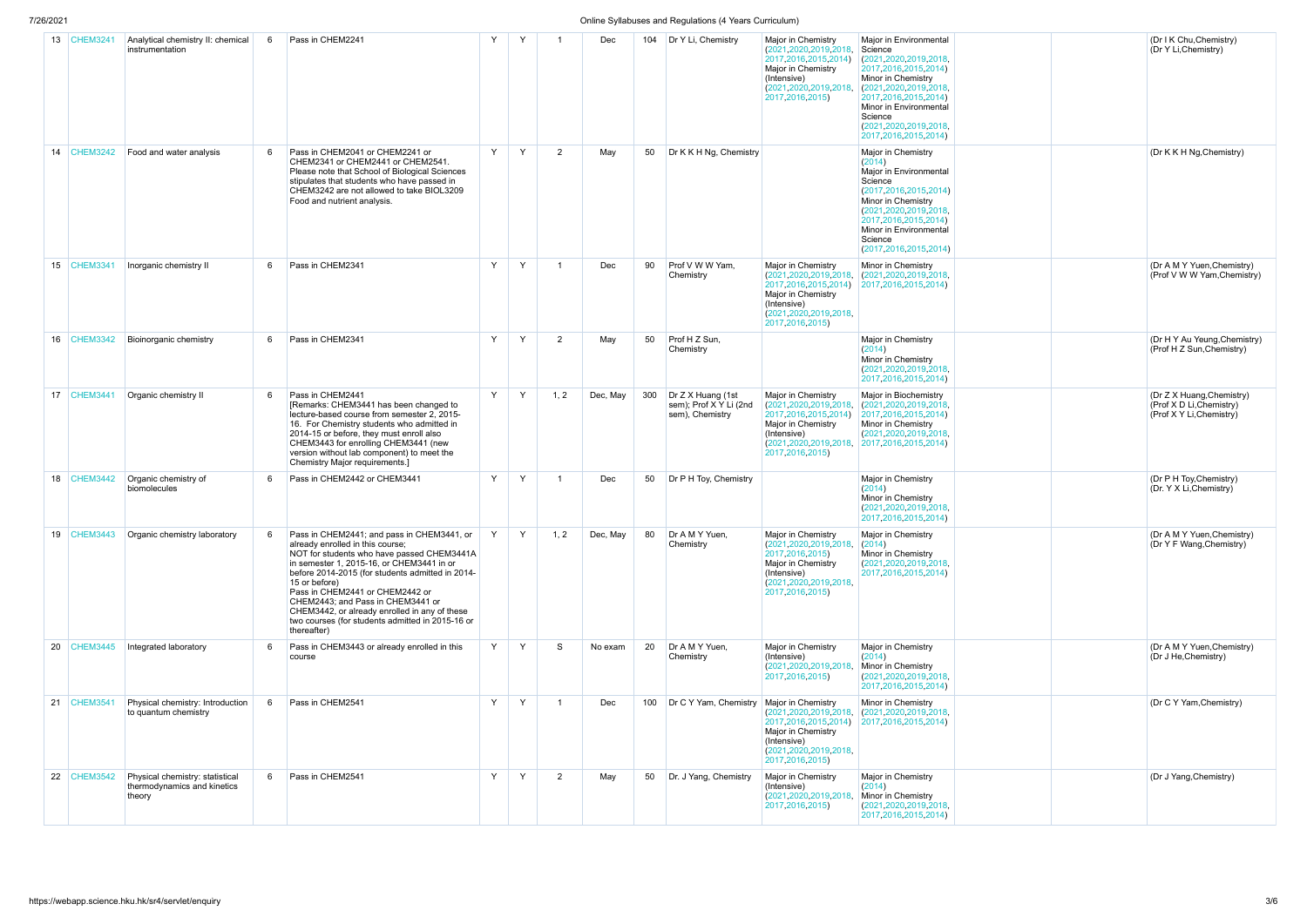### 7/26/2021 Online Syllabuses and Regulations (4 Years Curriculum)

| - - - - - - |                 |                                                                          |   |                                                                                                                                                                                                                                                                                                                                                                                                                                            |   |   |                |          |     | $S$ and $S$ and $S$ and $S$ and $S$ and $S$ and $S$ are $S$ and $S$ and $S$ and $S$ and $S$ are $S$ and $S$ are $S$ and $S$ are $S$ and $S$ are $S$ and $S$ are $S$ are $S$ and $S$ are $S$ are $S$ are $S$ and $S$ are $S$ a |                                                                                                                                                                 |                                                                                                                                                                                                                                                                   |  |
|-------------|-----------------|--------------------------------------------------------------------------|---|--------------------------------------------------------------------------------------------------------------------------------------------------------------------------------------------------------------------------------------------------------------------------------------------------------------------------------------------------------------------------------------------------------------------------------------------|---|---|----------------|----------|-----|-------------------------------------------------------------------------------------------------------------------------------------------------------------------------------------------------------------------------------|-----------------------------------------------------------------------------------------------------------------------------------------------------------------|-------------------------------------------------------------------------------------------------------------------------------------------------------------------------------------------------------------------------------------------------------------------|--|
|             | 13 CHEM3241     | Analytical chemistry II: chemical<br>instrumentation                     | 6 | Pass in CHEM2241                                                                                                                                                                                                                                                                                                                                                                                                                           | Y | Y |                | Dec      | 104 | Dr Y Li, Chemistry                                                                                                                                                                                                            | Major in Chemistry<br>(2021, 2020, 2019, 2018,<br>2017, 2016, 2015, 2014)<br>Major in Chemistry<br>(Intensive)<br>(2021, 2020, 2019, 2018,<br>2017, 2016, 2015) | Major in Environmental<br>Science<br>(2021, 2020, 2019, 2018,<br>2017, 2016, 2015, 2014)<br>Minor in Chemistry<br>(2021, 2020, 2019, 2018,<br>2017, 2016, 2015, 2014)<br>Minor in Environmental<br>Science<br>(2021, 2020, 2019, 2018,<br>2017, 2016, 2015, 2014) |  |
|             | 14 CHEM3242     | Food and water analysis                                                  | 6 | Pass in CHEM2041 or CHEM2241 or<br>CHEM2341 or CHEM2441 or CHEM2541.<br>Please note that School of Biological Sciences<br>stipulates that students who have passed in<br>CHEM3242 are not allowed to take BIOL3209<br>Food and nutrient analysis.                                                                                                                                                                                          | Y | Y | 2              | May      | 50  | Dr K K H Ng, Chemistry                                                                                                                                                                                                        |                                                                                                                                                                 | Major in Chemistry<br>(2014)<br>Major in Environmental<br>Science<br>(2017, 2016, 2015, 2014)<br>Minor in Chemistry<br>(2021, 2020, 2019, 2018,<br>2017, 2016, 2015, 2014)<br>Minor in Environmental<br>Science<br>(2017, 2016, 2015, 2014)                       |  |
| 15          | <b>CHEM3341</b> | Inorganic chemistry II                                                   | 6 | Pass in CHEM2341                                                                                                                                                                                                                                                                                                                                                                                                                           | Y | Y | 1              | Dec      | 90  | Prof V W W Yam,<br>Chemistry                                                                                                                                                                                                  | Major in Chemistry<br>(2021, 2020, 2019, 2018,<br>2017, 2016, 2015, 2014)<br>Major in Chemistry<br>(Intensive)<br>(2021, 2020, 2019, 2018,<br>2017, 2016, 2015) | Minor in Chemistry<br>(2021, 2020, 2019, 2018,<br>2017, 2016, 2015, 2014)                                                                                                                                                                                         |  |
| 16          | <b>CHEM3342</b> | Bioinorganic chemistry                                                   | 6 | Pass in CHEM2341                                                                                                                                                                                                                                                                                                                                                                                                                           | Y | Y | $\overline{2}$ | May      | 50  | Prof H Z Sun,<br>Chemistry                                                                                                                                                                                                    |                                                                                                                                                                 | Major in Chemistry<br>(2014)<br>Minor in Chemistry<br>(2021, 2020, 2019, 2018,<br>2017, 2016, 2015, 2014)                                                                                                                                                         |  |
| 17          | <b>CHEM3441</b> | Organic chemistry II                                                     | 6 | Pass in CHEM2441<br>[Remarks: CHEM3441 has been changed to<br>lecture-based course from semester 2, 2015-<br>16. For Chemistry students who admitted in<br>2014-15 or before, they must enroll also<br>CHEM3443 for enrolling CHEM3441 (new<br>version without lab component) to meet the<br>Chemistry Major requirements.]                                                                                                                | Y | Y | 1, 2           | Dec, May | 300 | Dr Z X Huang (1st<br>sem); Prof X Y Li (2nd<br>sem), Chemistry                                                                                                                                                                | Major in Chemistry<br>(2021, 2020, 2019, 2018,<br>2017, 2016, 2015, 2014)<br>Major in Chemistry<br>(Intensive)<br>(2021, 2020, 2019, 2018,<br>2017, 2016, 2015) | Major in Biochemistry<br>(2021, 2020, 2019, 2018,<br>2017, 2016, 2015, 2014)<br>Minor in Chemistry<br>(2021, 2020, 2019, 2018,<br>2017, 2016, 2015, 2014)                                                                                                         |  |
|             | 18 CHEM3442     | Organic chemistry of<br>biomolecules                                     | 6 | Pass in CHEM2442 or CHEM3441                                                                                                                                                                                                                                                                                                                                                                                                               | Y | Y |                | Dec      | 50  | Dr P H Toy, Chemistry                                                                                                                                                                                                         |                                                                                                                                                                 | Major in Chemistry<br>(2014)<br>Minor in Chemistry<br>(2021, 2020, 2019, 2018,<br>2017, 2016, 2015, 2014)                                                                                                                                                         |  |
| 19          | <b>CHEM3443</b> | Organic chemistry laboratory                                             | 6 | Pass in CHEM2441; and pass in CHEM3441, or<br>already enrolled in this course;<br>NOT for students who have passed CHEM3441A<br>in semester 1, 2015-16, or CHEM3441 in or<br>before 2014-2015 (for students admitted in 2014-<br>15 or before)<br>Pass in CHEM2441 or CHEM2442 or<br>CHEM2443; and Pass in CHEM3441 or<br>CHEM3442, or already enrolled in any of these<br>two courses (for students admitted in 2015-16 or<br>thereafter) | Y | Y | 1, 2           | Dec, May | 80  | Dr A M Y Yuen.<br>Chemistry                                                                                                                                                                                                   | Major in Chemistry<br>(2021, 2020, 2019, 2018,<br>2017, 2016, 2015)<br>Major in Chemistry<br>(Intensive)<br>(2021, 2020, 2019, 2018,<br>2017, 2016, 2015)       | Major in Chemistry<br>(2014)<br>Minor in Chemistry<br>(2021, 2020, 2019, 2018,<br>2017, 2016, 2015, 2014)                                                                                                                                                         |  |
| 20          | <b>CHEM3445</b> | Integrated laboratory                                                    | 6 | Pass in CHEM3443 or already enrolled in this<br>course                                                                                                                                                                                                                                                                                                                                                                                     | Y | Y | S              | No exam  | 20  | Dr A M Y Yuen,<br>Chemistry                                                                                                                                                                                                   | Major in Chemistry<br>(Intensive)<br>(2021, 2020, 2019, 2018,<br>2017, 2016, 2015)                                                                              | Major in Chemistry<br>(2014)<br>Minor in Chemistry<br>(2021, 2020, 2019, 2018,<br>2017, 2016, 2015, 2014)                                                                                                                                                         |  |
| 21          | $ $ CHEM3541    | Physical chemistry: Introduction<br>to quantum chemistry                 | 6 | Pass in CHEM2541                                                                                                                                                                                                                                                                                                                                                                                                                           | Y | Y | $\mathbf 1$    | Dec      | 100 | Dr C Y Yam, Chemistry                                                                                                                                                                                                         | Major in Chemistry<br>(2021, 2020, 2019, 2018,<br>2017, 2016, 2015, 2014)<br>Major in Chemistry<br>(Intensive)<br>(2021, 2020, 2019, 2018,<br>2017, 2016, 2015) | Minor in Chemistry<br>(2021, 2020, 2019, 2018,<br>2017, 2016, 2015, 2014)                                                                                                                                                                                         |  |
|             | 22 CHEM3542     | Physical chemistry: statistical<br>thermodynamics and kinetics<br>theory | 6 | Pass in CHEM2541                                                                                                                                                                                                                                                                                                                                                                                                                           | Y | Y | $\overline{2}$ | May      | 50  | Dr. J Yang, Chemistry                                                                                                                                                                                                         | Major in Chemistry<br>(Intensive)<br>(2021, 2020, 2019, 2018,<br>2017, 2016, 2015)                                                                              | Major in Chemistry<br>(2014)<br>Minor in Chemistry<br>(2021, 2020, 2019, 2018,<br>2017, 2016, 2015, 2014)                                                                                                                                                         |  |

|  | (Dr I K Chu, Chemistry)<br>(Dr Y Li, Chemistry)                                   |
|--|-----------------------------------------------------------------------------------|
|  | (Dr K K H Ng, Chemistry)                                                          |
|  | (Dr A M Y Yuen, Chemistry)<br>(Prof V W W Yam, Chemistry)                         |
|  | (Dr H Y Au Yeung, Chemistry)<br>(Prof H Z Sun, Chemistry)                         |
|  | (Dr Z X Huang, Chemistry)<br>(Prof X D Li, Chemistry)<br>(Prof X Y Li, Chemistry) |
|  | (Dr P H Toy, Chemistry)<br>(Dr. Y X Li, Chemistry)                                |
|  | (Dr A M Y Yuen, Chemistry)<br>(Dr Y F Wang, Chemistry)                            |
|  | (Dr A M Y Yuen, Chemistry)<br>(Dr J He, Chemistry)                                |
|  | (Dr C Y Yam, Chemistry)                                                           |
|  | (Dr J Yang, Chemistry)                                                            |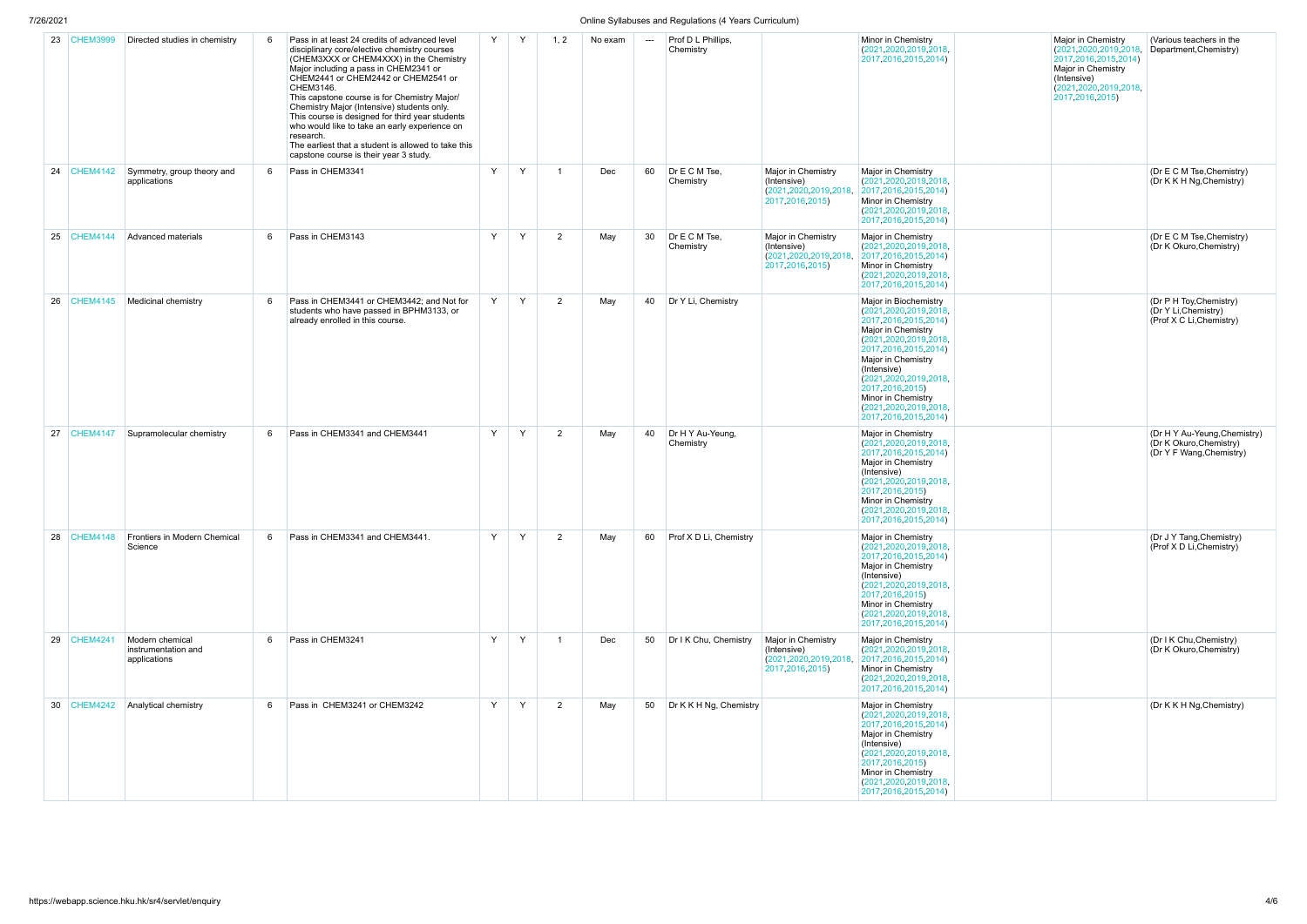| 7/26/2021 |                 |                                                        |   |                                                                                                                                                                                                                                                                                                                                                                                                                                                                                                                                                       |   |   |                |         |     | Online Syllabuses and Regulations (4 Years Curriculum) |                                                                                    |                                                                                                                                                                                                                                                                                                                              |
|-----------|-----------------|--------------------------------------------------------|---|-------------------------------------------------------------------------------------------------------------------------------------------------------------------------------------------------------------------------------------------------------------------------------------------------------------------------------------------------------------------------------------------------------------------------------------------------------------------------------------------------------------------------------------------------------|---|---|----------------|---------|-----|--------------------------------------------------------|------------------------------------------------------------------------------------|------------------------------------------------------------------------------------------------------------------------------------------------------------------------------------------------------------------------------------------------------------------------------------------------------------------------------|
| 23        | <b>CHEM3999</b> | Directed studies in chemistry                          | 6 | Pass in at least 24 credits of advanced level<br>disciplinary core/elective chemistry courses<br>(CHEM3XXX or CHEM4XXX) in the Chemistry<br>Major including a pass in CHEM2341 or<br>CHEM2441 or CHEM2442 or CHEM2541 or<br>CHEM3146.<br>This capstone course is for Chemistry Major/<br>Chemistry Major (Intensive) students only.<br>This course is designed for third year students<br>who would like to take an early experience on<br>research.<br>The earliest that a student is allowed to take this<br>capstone course is their year 3 study. | Y | Y | 1, 2           | No exam | --- | Prof D L Phillips,<br>Chemistry                        |                                                                                    | Minor in Chemistry<br>(2021, 2020, 2019, 2018,<br>2017, 2016, 2015, 2014)                                                                                                                                                                                                                                                    |
| 24        | <b>CHEM4142</b> | Symmetry, group theory and<br>applications             | 6 | Pass in CHEM3341                                                                                                                                                                                                                                                                                                                                                                                                                                                                                                                                      | Y | Y | $\overline{1}$ | Dec     | 60  | Dr E C M Tse,<br>Chemistry                             | Major in Chemistry<br>(Intensive)<br>(2021, 2020, 2019, 2018,<br>2017, 2016, 2015) | Major in Chemistry<br>(2021, 2020, 2019, 2018,<br>2017, 2016, 2015, 2014)<br>Minor in Chemistry<br>(2021, 2020, 2019, 2018,<br>2017, 2016, 2015, 2014)                                                                                                                                                                       |
| 25        | CHEM4144        | Advanced materials                                     | 6 | Pass in CHEM3143                                                                                                                                                                                                                                                                                                                                                                                                                                                                                                                                      | Y | Y | 2              | May     | 30  | Dr E C M Tse,<br>Chemistry                             | Major in Chemistry<br>(Intensive)<br>(2021, 2020, 2019, 2018,<br>2017, 2016, 2015) | Major in Chemistry<br>(2021, 2020, 2019, 2018)<br>2017, 2016, 2015, 2014)<br>Minor in Chemistry<br>(2021, 2020, 2019, 2018,<br>2017, 2016, 2015, 2014)                                                                                                                                                                       |
| 26        | <b>CHEM4145</b> | Medicinal chemistry                                    | 6 | Pass in CHEM3441 or CHEM3442; and Not for<br>students who have passed in BPHM3133, or<br>already enrolled in this course.                                                                                                                                                                                                                                                                                                                                                                                                                             | Y | Y | 2              | May     | 40  | Dr Y Li, Chemistry                                     |                                                                                    | Major in Biochemistry<br>(2021, 2020, 2019, 2018,<br>2017, 2016, 2015, 2014)<br>Major in Chemistry<br>(2021, 2020, 2019, 2018,<br>2017, 2016, 2015, 2014)<br>Major in Chemistry<br>(Intensive)<br>(2021, 2020, 2019, 2018,<br>2017, 2016, 2015)<br>Minor in Chemistry<br>(2021, 2020, 2019, 2018,<br>2017, 2016, 2015, 2014) |
| 27        | CHEM4147        | Supramolecular chemistry                               | 6 | Pass in CHEM3341 and CHEM3441                                                                                                                                                                                                                                                                                                                                                                                                                                                                                                                         | Y | Y | 2              | May     | 40  | Dr H Y Au-Yeung,<br>Chemistry                          |                                                                                    | Major in Chemistry<br>(2021, 2020, 2019, 2018,<br>2017, 2016, 2015, 2014)<br>Major in Chemistry<br>(Intensive)<br>(2021, 2020, 2019, 2018,<br>2017, 2016, 2015)<br>Minor in Chemistry<br>(2021, 2020, 2019, 2018,<br>2017, 2016, 2015, 2014)                                                                                 |
| 28        | CHEM4148        | Frontiers in Modern Chemical<br>Science                | 6 | Pass in CHEM3341 and CHEM3441.                                                                                                                                                                                                                                                                                                                                                                                                                                                                                                                        | Y | Y | 2              | May     | 60  | Prof X D Li. Chemistry                                 |                                                                                    | Major in Chemistry<br>(2021, 2020, 2019, 2018,<br>2017, 2016, 2015, 2014)<br>Major in Chemistry<br>(Intensive)<br>(2021, 2020, 2019, 2018,<br>2017 2016 2015)<br>Minor in Chemistry<br>(2021, 2020, 2019, 2018,<br>2017, 2016, 2015, 2014)                                                                                   |
| 29        | <b>CHEM4241</b> | Modern chemical<br>instrumentation and<br>applications | 6 | Pass in CHEM3241                                                                                                                                                                                                                                                                                                                                                                                                                                                                                                                                      | Y | Y | $\overline{1}$ | Dec     | 50  | Dr I K Chu, Chemistry                                  | Major in Chemistry<br>(Intensive)<br>(2021, 2020, 2019, 2018,<br>2017, 2016, 2015) | Major in Chemistry<br>(2021, 2020, 2019, 2018,<br>2017, 2016, 2015, 2014)<br>Minor in Chemistry<br>(2021, 2020, 2019, 2018,<br>2017, 2016, 2015, 2014)                                                                                                                                                                       |
| 30        | <b>CHEM4242</b> | Analytical chemistry                                   | 6 | Pass in CHEM3241 or CHEM3242                                                                                                                                                                                                                                                                                                                                                                                                                                                                                                                          | Y | Y | 2              | May     | 50  | Dr K K H Ng, Chemistry                                 |                                                                                    | Major in Chemistry<br>(2021, 2020, 2019, 2018,<br>2017, 2016, 2015, 2014)<br>Major in Chemistry<br>(Intensive)<br>(2021, 2020, 2019, 2018,<br>2017, 2016, 2015)<br>Minor in Chemistry<br>(2021, 2020, 2019, 2018,<br>2017, 2016, 2015, 2014)                                                                                 |

| Major in Chemistry<br>(2021, 2020, 2019, 2018,<br>2017, 2016, 2015, 2014)<br>Major in Chemistry<br>(Intensive)<br>(2021, 2020, 2019, 2018,<br>2017, 2016, 2015) | (Various teachers in the<br>Department, Chemistry)                                  |
|-----------------------------------------------------------------------------------------------------------------------------------------------------------------|-------------------------------------------------------------------------------------|
|                                                                                                                                                                 | (Dr E C M Tse, Chemistry)<br>(Dr K K H Ng, Chemistry)                               |
|                                                                                                                                                                 | (Dr E C M Tse, Chemistry)<br>(Dr K Okuro, Chemistry)                                |
|                                                                                                                                                                 | (Dr P H Toy, Chemistry)<br>(Dr Y Li, Chemistry)<br>(Prof X C Li, Chemistry)         |
|                                                                                                                                                                 | (Dr H Y Au-Yeung, Chemistry)<br>(Dr K Okuro, Chemistry)<br>(Dr Y F Wang, Chemistry) |
|                                                                                                                                                                 | (Dr J Y Tang, Chemistry)<br>(Prof X D Li, Chemistry)                                |
|                                                                                                                                                                 | (Dr I K Chu, Chemistry)<br>(Dr K Okuro, Chemistry)                                  |
|                                                                                                                                                                 | (Dr K K H Ng, Chemistry)                                                            |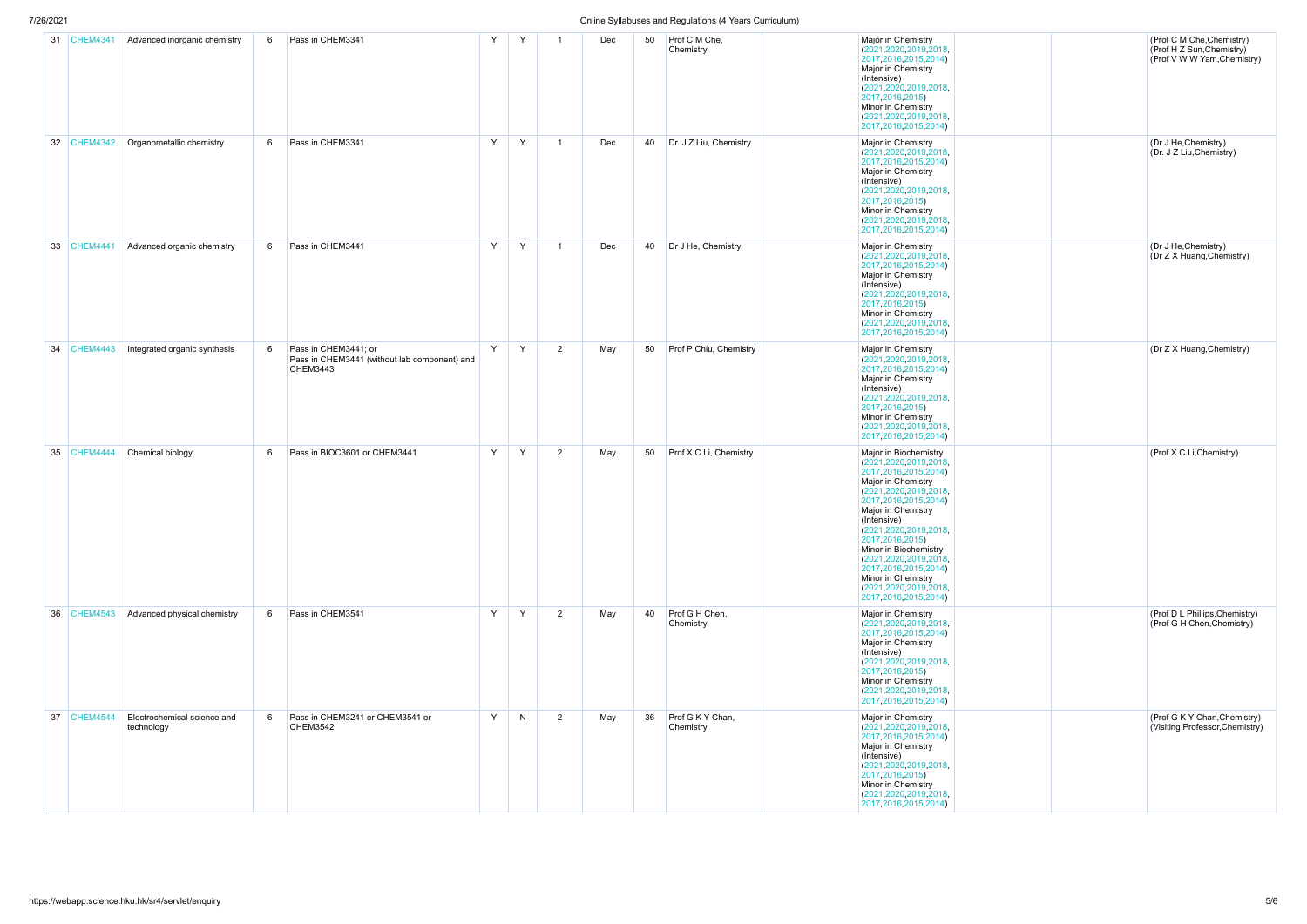| 7/26/2021 |                 |                                           |   |                                                                                  |   |   |                         |     |    | Online Syllabuses and Regulations (4 Years Curriculum) |                                                                                                                                                                                                                                                                                                                                                                                                              |
|-----------|-----------------|-------------------------------------------|---|----------------------------------------------------------------------------------|---|---|-------------------------|-----|----|--------------------------------------------------------|--------------------------------------------------------------------------------------------------------------------------------------------------------------------------------------------------------------------------------------------------------------------------------------------------------------------------------------------------------------------------------------------------------------|
| 31        | <b>CHEM4341</b> | Advanced inorganic chemistry              | 6 | Pass in CHEM3341                                                                 | Y | Y |                         | Dec | 50 | Prof C M Che,<br>Chemistry                             | Major in Chemistry<br>(2021, 2020, 2019, 2018,<br>2017, 2016, 2015, 2014)<br>Major in Chemistry<br>(Intensive)<br>(2021, 2020, 2019, 2018,<br>2017, 2016, 2015)<br>Minor in Chemistry<br>(2021, 2020, 2019, 2018,<br>2017, 2016, 2015, 2014)                                                                                                                                                                 |
| 32        | <b>CHEM4342</b> | Organometallic chemistry                  | 6 | Pass in CHEM3341                                                                 | Y | Y | $\overline{\mathbf{1}}$ | Dec | 40 | Dr. J Z Liu, Chemistry                                 | Major in Chemistry<br>(2021, 2020, 2019, 2018,<br>2017, 2016, 2015, 2014)<br>Major in Chemistry<br>(Intensive)<br>(2021, 2020, 2019, 2018,<br>2017, 2016, 2015)<br>Minor in Chemistry<br>(2021, 2020, 2019, 2018,<br>2017, 2016, 2015, 2014)                                                                                                                                                                 |
| 33        | <b>CHEM4441</b> | Advanced organic chemistry                | 6 | Pass in CHEM3441                                                                 | Y | Y |                         | Dec | 40 | Dr J He, Chemistry                                     | Major in Chemistry<br>(2021, 2020, 2019, 2018,<br>2017, 2016, 2015, 2014)<br>Major in Chemistry<br>(Intensive)<br>(2021, 2020, 2019, 2018,<br>2017, 2016, 2015)<br>Minor in Chemistry<br>(2021, 2020, 2019, 2018,<br>2017, 2016, 2015, 2014)                                                                                                                                                                 |
| 34        | <b>CHEM4443</b> | Integrated organic synthesis              | 6 | Pass in CHEM3441; or<br>Pass in CHEM3441 (without lab component) and<br>CHEM3443 | Y | Y | 2                       | May | 50 | Prof P Chiu, Chemistry                                 | Major in Chemistry<br>(2021, 2020, 2019, 2018,<br>2017, 2016, 2015, 2014)<br>Major in Chemistry<br>(Intensive)<br>(2021, 2020, 2019, 2018,<br>2017, 2016, 2015)<br>Minor in Chemistry<br>(2021, 2020, 2019, 2018,<br>2017, 2016, 2015, 2014)                                                                                                                                                                 |
| 35        | CHEM4444        | Chemical biology                          | 6 | Pass in BIOC3601 or CHEM3441                                                     | Y | Y | 2                       | May | 50 | Prof X C Li, Chemistry                                 | Major in Biochemistry<br>(2021, 2020, 2019, 2018,<br>2017, 2016, 2015, 2014)<br>Major in Chemistry<br>(2021, 2020, 2019, 2018,<br>2017, 2016, 2015, 2014)<br>Major in Chemistry<br>(Intensive)<br>(2021, 2020, 2019, 2018,<br>2017, 2016, 2015)<br>Minor in Biochemistry<br>(2021, 2020, 2019, 2018,<br>2017, 2016, 2015, 2014)<br>Minor in Chemistry<br>(2021, 2020, 2019, 2018,<br>2017, 2016, 2015, 2014) |
| 36        | CHEM4543        | Advanced physical chemistry               | 6 | Pass in CHEM3541                                                                 | Y | Y | $\overline{2}$          | May | 40 | Prof G H Chen,<br>Chemistry                            | Major in Chemistry<br>(2021, 2020, 2019, 2018,<br>2017, 2016, 2015, 2014)<br>Major in Chemistry<br>(Intensive)<br>(2021, 2020, 2019, 2018,<br>2017, 2016, 2015)<br>Minor in Chemistry<br>(2021, 2020, 2019, 2018,<br>2017, 2016, 2015, 2014)                                                                                                                                                                 |
| 37        | <b>CHEM4544</b> | Electrochemical science and<br>technology | 6 | Pass in CHEM3241 or CHEM3541 or<br><b>CHEM3542</b>                               | Y | N | $\overline{2}$          | May | 36 | Prof G K Y Chan,<br>Chemistry                          | Major in Chemistry<br>(2021, 2020, 2019, 2018,<br>2017, 2016, 2015, 2014)<br>Major in Chemistry<br>(Intensive)<br>(2021, 2020, 2019, 2018,<br>2017, 2016, 2015)<br>Minor in Chemistry<br>(2021, 2020, 2019, 2018,<br>2017, 2016, 2015, 2014)                                                                                                                                                                 |

|  | (Prof C M Che, Chemistry)<br>(Prof H Z Sun, Chemistry)<br>(Prof V W W Yam, Chemistry) |
|--|---------------------------------------------------------------------------------------|
|  | (Dr J He, Chemistry)<br>(Dr. J Z Liu, Chemistry)                                      |
|  | (Dr J He, Chemistry)<br>(Dr Z X Huang, Chemistry)                                     |
|  | (Dr Z X Huang, Chemistry)                                                             |
|  | (Prof X C Li, Chemistry)                                                              |
|  | (Prof D L Phillips, Chemistry)<br>(Prof G H Chen, Chemistry)                          |
|  | (Prof G K Y Chan, Chemistry)<br>(Visiting Professor, Chemistry)                       |